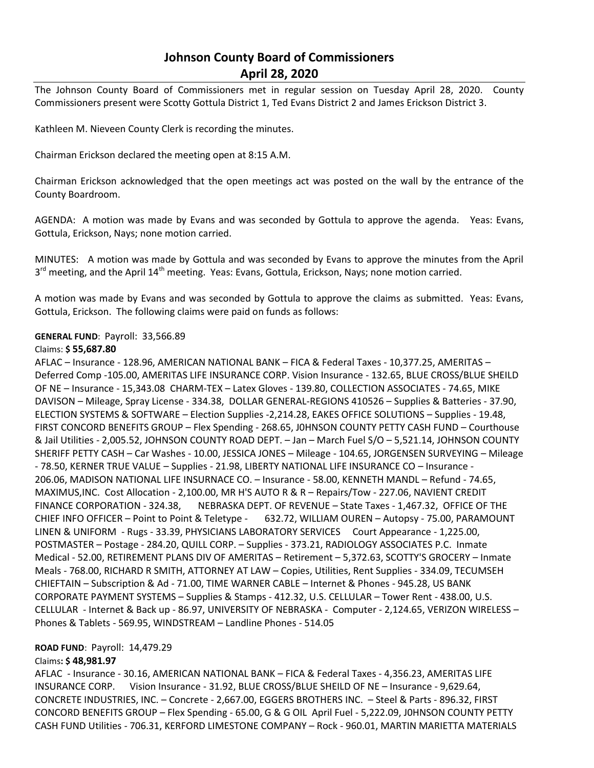# **Johnson County Board of Commissioners April 28, 2020**

The Johnson County Board of Commissioners met in regular session on Tuesday April 28, 2020. County Commissioners present were Scotty Gottula District 1, Ted Evans District 2 and James Erickson District 3.

Kathleen M. Nieveen County Clerk is recording the minutes.

Chairman Erickson declared the meeting open at 8:15 A.M.

Chairman Erickson acknowledged that the open meetings act was posted on the wall by the entrance of the County Boardroom.

AGENDA: A motion was made by Evans and was seconded by Gottula to approve the agenda. Yeas: Evans, Gottula, Erickson, Nays; none motion carried.

MINUTES: A motion was made by Gottula and was seconded by Evans to approve the minutes from the April 3<sup>rd</sup> meeting, and the April 14<sup>th</sup> meeting. Yeas: Evans, Gottula, Erickson, Nays; none motion carried.

A motion was made by Evans and was seconded by Gottula to approve the claims as submitted. Yeas: Evans, Gottula, Erickson. The following claims were paid on funds as follows:

#### **GENERAL FUND**: Payroll: 33,566.89

#### Claims: **\$ 55,687.80**

AFLAC – Insurance - 128.96, AMERICAN NATIONAL BANK – FICA & Federal Taxes - 10,377.25, AMERITAS – Deferred Comp -105.00, AMERITAS LIFE INSURANCE CORP. Vision Insurance - 132.65, BLUE CROSS/BLUE SHEILD OF NE – Insurance - 15,343.08 CHARM-TEX – Latex Gloves - 139.80, COLLECTION ASSOCIATES - 74.65, MIKE DAVISON – Mileage, Spray License - 334.38, DOLLAR GENERAL-REGIONS 410526 – Supplies & Batteries - 37.90, ELECTION SYSTEMS & SOFTWARE – Election Supplies -2,214.28, EAKES OFFICE SOLUTIONS – Supplies - 19.48, FIRST CONCORD BENEFITS GROUP – Flex Spending - 268.65, J0HNSON COUNTY PETTY CASH FUND – Courthouse & Jail Utilities - 2,005.52, JOHNSON COUNTY ROAD DEPT. – Jan – March Fuel S/O – 5,521.14, JOHNSON COUNTY SHERIFF PETTY CASH – Car Washes - 10.00, JESSICA JONES – Mileage - 104.65, JORGENSEN SURVEYING – Mileage - 78.50, KERNER TRUE VALUE – Supplies - 21.98, LIBERTY NATIONAL LIFE INSURANCE CO – Insurance - 206.06, MADISON NATIONAL LIFE INSURNACE CO. – Insurance - 58.00, KENNETH MANDL – Refund - 74.65, MAXIMUS,INC. Cost Allocation - 2,100.00, MR H'S AUTO R & R – Repairs/Tow - 227.06, NAVIENT CREDIT FINANCE CORPORATION - 324.38, NEBRASKA DEPT. OF REVENUE – State Taxes - 1,467.32, OFFICE OF THE CHIEF INFO OFFICER – Point to Point & Teletype - 632.72, WILLIAM OUREN – Autopsy - 75.00, PARAMOUNT LINEN & UNIFORM - Rugs - 33.39, PHYSICIANS LABORATORY SERVICES Court Appearance - 1,225.00, POSTMASTER – Postage - 284.20, QUILL CORP. – Supplies - 373.21, RADIOLOGY ASSOCIATES P.C. Inmate Medical - 52.00, RETIREMENT PLANS DIV OF AMERITAS – Retirement – 5,372.63, SCOTTY'S GROCERY – Inmate Meals - 768.00, RICHARD R SMITH, ATTORNEY AT LAW – Copies, Utilities, Rent Supplies - 334.09, TECUMSEH CHIEFTAIN – Subscription & Ad - 71.00, TIME WARNER CABLE – Internet & Phones - 945.28, US BANK CORPORATE PAYMENT SYSTEMS – Supplies & Stamps - 412.32, U.S. CELLULAR – Tower Rent - 438.00, U.S. CELLULAR - Internet & Back up - 86.97, UNIVERSITY OF NEBRASKA - Computer - 2,124.65, VERIZON WIRELESS – Phones & Tablets - 569.95, WINDSTREAM – Landline Phones - 514.05

#### **ROAD FUND**: Payroll: 14,479.29

## Claims**: \$ 48,981.97**

AFLAC - Insurance - 30.16, AMERICAN NATIONAL BANK – FICA & Federal Taxes - 4,356.23, AMERITAS LIFE INSURANCE CORP. Vision Insurance - 31.92, BLUE CROSS/BLUE SHEILD OF NE – Insurance - 9,629.64, CONCRETE INDUSTRIES, INC. – Concrete - 2,667.00, EGGERS BROTHERS INC. – Steel & Parts - 896.32, FIRST CONCORD BENEFITS GROUP – Flex Spending - 65.00, G & G OIL April Fuel - 5,222.09, J0HNSON COUNTY PETTY CASH FUND Utilities - 706.31, KERFORD LIMESTONE COMPANY – Rock - 960.01, MARTIN MARIETTA MATERIALS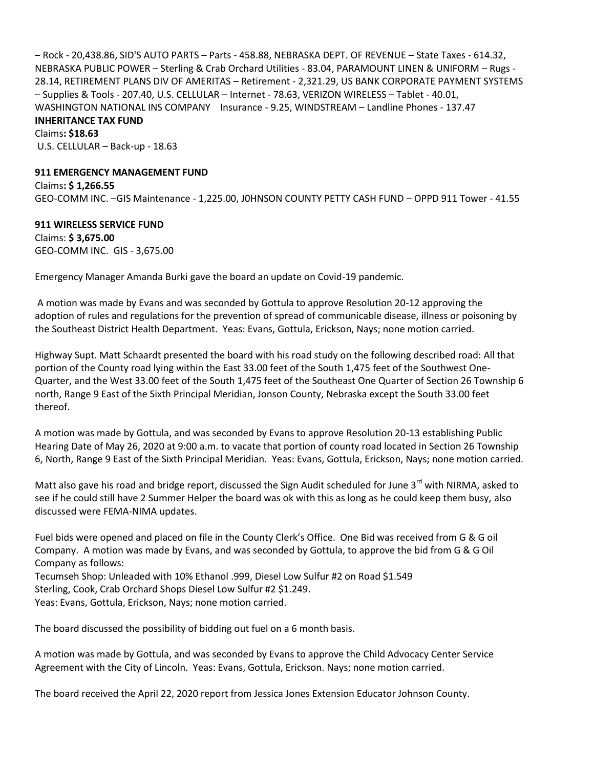– Rock - 20,438.86, SID'S AUTO PARTS – Parts - 458.88, NEBRASKA DEPT. OF REVENUE – State Taxes - 614.32, NEBRASKA PUBLIC POWER – Sterling & Crab Orchard Utilities - 83.04, PARAMOUNT LINEN & UNIFORM – Rugs - 28.14, RETIREMENT PLANS DIV OF AMERITAS – Retirement - 2,321.29, US BANK CORPORATE PAYMENT SYSTEMS – Supplies & Tools - 207.40, U.S. CELLULAR – Internet - 78.63, VERIZON WIRELESS – Tablet - 40.01, WASHINGTON NATIONAL INS COMPANY Insurance - 9.25, WINDSTREAM – Landline Phones - 137.47 **INHERITANCE TAX FUND**

Claims**: \$18.63** U.S. CELLULAR – Back-up - 18.63

### **911 EMERGENCY MANAGEMENT FUND**

Claims**: \$ 1,266.55** GEO-COMM INC. –GIS Maintenance - 1,225.00, J0HNSON COUNTY PETTY CASH FUND – OPPD 911 Tower - 41.55

## **911 WIRELESS SERVICE FUND**

Claims: **\$ 3,675.00** GEO-COMM INC. GIS - 3,675.00

Emergency Manager Amanda Burki gave the board an update on Covid-19 pandemic.

A motion was made by Evans and was seconded by Gottula to approve Resolution 20-12 approving the adoption of rules and regulations for the prevention of spread of communicable disease, illness or poisoning by the Southeast District Health Department. Yeas: Evans, Gottula, Erickson, Nays; none motion carried.

Highway Supt. Matt Schaardt presented the board with his road study on the following described road: All that portion of the County road lying within the East 33.00 feet of the South 1,475 feet of the Southwest One-Quarter, and the West 33.00 feet of the South 1,475 feet of the Southeast One Quarter of Section 26 Township 6 north, Range 9 East of the Sixth Principal Meridian, Jonson County, Nebraska except the South 33.00 feet thereof.

A motion was made by Gottula, and was seconded by Evans to approve Resolution 20-13 establishing Public Hearing Date of May 26, 2020 at 9:00 a.m. to vacate that portion of county road located in Section 26 Township 6, North, Range 9 East of the Sixth Principal Meridian. Yeas: Evans, Gottula, Erickson, Nays; none motion carried.

Matt also gave his road and bridge report, discussed the Sign Audit scheduled for June 3<sup>rd</sup> with NIRMA, asked to see if he could still have 2 Summer Helper the board was ok with this as long as he could keep them busy, also discussed were FEMA-NIMA updates.

Fuel bids were opened and placed on file in the County Clerk's Office. One Bid was received from G & G oil Company. A motion was made by Evans, and was seconded by Gottula, to approve the bid from G & G Oil Company as follows: Tecumseh Shop: Unleaded with 10% Ethanol .999, Diesel Low Sulfur #2 on Road \$1.549 Sterling, Cook, Crab Orchard Shops Diesel Low Sulfur #2 \$1.249.

Yeas: Evans, Gottula, Erickson, Nays; none motion carried.

The board discussed the possibility of bidding out fuel on a 6 month basis.

A motion was made by Gottula, and was seconded by Evans to approve the Child Advocacy Center Service Agreement with the City of Lincoln. Yeas: Evans, Gottula, Erickson. Nays; none motion carried.

The board received the April 22, 2020 report from Jessica Jones Extension Educator Johnson County.